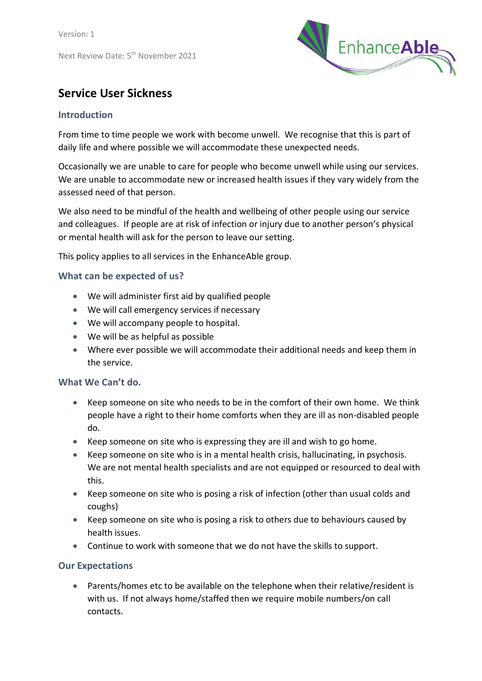

# **Service User Sickness**

## **Introduction**

From time to time people we work with become unwell. We recognise that this is part of daily life and where possible we will accommodate these unexpected needs.

Occasionally we are unable to care for people who become unwell while using our services. We are unable to accommodate new or increased health issues if they vary widely from the assessed need of that person.

We also need to be mindful of the health and wellbeing of other people using our service and colleagues. If people are at risk of infection or injury due to another person's physical or mental health will ask for the person to leave our setting.

This policy applies to all services in the EnhanceAble group.

## **What can be expected of us?**

- We will administer first aid by qualified people
- We will call emergency services if necessary
- We will accompany people to hospital.
- We will be as helpful as possible
- Where ever possible we will accommodate their additional needs and keep them in the service.

## **What We Can't do.**

- Keep someone on site who needs to be in the comfort of their own home. We think people have a right to their home comforts when they are ill as non-disabled people do.
- Keep someone on site who is expressing they are ill and wish to go home.
- Keep someone on site who is in a mental health crisis, hallucinating, in psychosis. We are not mental health specialists and are not equipped or resourced to deal with this.
- Keep someone on site who is posing a risk of infection (other than usual colds and coughs)
- Keep someone on site who is posing a risk to others due to behaviours caused by health issues.
- Continue to work with someone that we do not have the skills to support.

## **Our Expectations**

 Parents/homes etc to be available on the telephone when their relative/resident is with us. If not always home/staffed then we require mobile numbers/on call contacts.